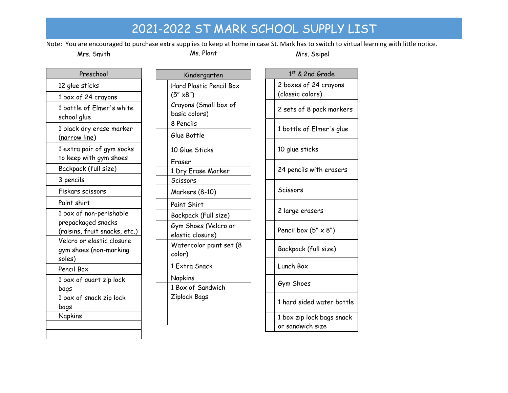## 2021-2022 ST MARK SCHOOL SUPPLY LIST

Note: You are encouraged to purchase extra supplies to keep at home in case St. Mark has to switch to virtual learning with little notice.

Mrs. Smith

Ms. Plant

Mrs. Seipel

| Preschool |                                                                                |  |
|-----------|--------------------------------------------------------------------------------|--|
|           | 12 glue sticks                                                                 |  |
|           | 1 box of 24 crayons                                                            |  |
|           | 1 bottle of Elmer's white<br>school glue                                       |  |
|           | 1 black dry erase marker<br>(narrow line)                                      |  |
|           | 1 extra pair of gym socks<br>to keep with gym shoes                            |  |
|           | Backpack (full size)                                                           |  |
|           | 3 pencils                                                                      |  |
|           | Fiskars scissors                                                               |  |
|           | Paint shirt                                                                    |  |
|           | 1 box of non-perishable<br>prepackaged snacks<br>(raisins, fruit snacks, etc.) |  |
|           | Velcro or elastic closure<br>gym shoes (non-marking<br>soles)                  |  |
|           | Pencil Box                                                                     |  |
|           | 1 box of quart zip lock<br>bags                                                |  |
|           | 1 box of snack zip lock<br>bags                                                |  |
|           | Napkins                                                                        |  |
|           |                                                                                |  |
|           |                                                                                |  |

| Kindergarten |                                             |  |
|--------------|---------------------------------------------|--|
|              | Hard Plastic Pencil Box<br>$(5" \times 8")$ |  |
|              | Crayons (Small box of<br>basic colors)      |  |
|              | 8 Pencils                                   |  |
|              | Glue Bottle                                 |  |
|              | 10 Glue Sticks                              |  |
|              | Eraser                                      |  |
|              | 1 Dry Erase Marker                          |  |
|              | Scissors                                    |  |
|              | Markers (8-10)                              |  |
|              | Paint Shirt                                 |  |
|              | Backpack (Full size)                        |  |
|              | Gym Shoes (Velcro or<br>elastic closure)    |  |
|              | Watercolor paint set (8<br>color)           |  |
|              | 1 Extra Snack                               |  |
|              | Napkins                                     |  |
|              | 1 Box of Sandwich<br>Ziplock Bags           |  |
|              |                                             |  |
|              |                                             |  |
|              |                                             |  |

| 1st & 2nd Grade |                                               |  |
|-----------------|-----------------------------------------------|--|
|                 | 2 boxes of 24 crayons<br>(classic colors)     |  |
|                 | 2 sets of 8 pack markers                      |  |
|                 | 1 bottle of Elmer's glue                      |  |
|                 | 10 glue sticks                                |  |
|                 | 24 pencils with erasers                       |  |
|                 | Scissors                                      |  |
|                 | 2 large erasers                               |  |
|                 | Pencil box $(5" \times 8")$                   |  |
|                 | Backpack (full size)                          |  |
|                 | Lunch Box                                     |  |
|                 | Gym Shoes                                     |  |
|                 | 1 hard sided water bottle                     |  |
|                 | 1 box zip lock bags snack<br>or sandwich size |  |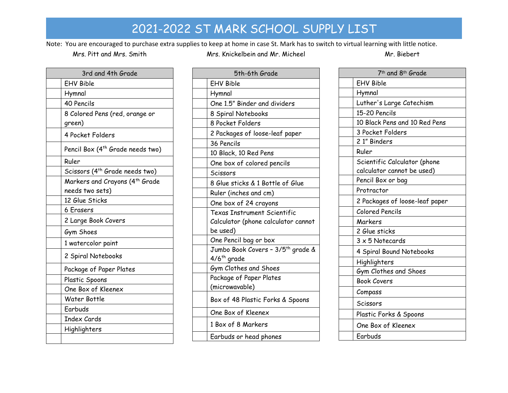## 2021-2022 ST MARK SCHOOL SUPPLY LIST

Note: You are encouraged to purchase extra supplies to keep at home in case St. Mark has to switch to virtual learning with little notice.

Mrs. Pitt and Mrs. Smith

Mrs. Knickelbein and Mr. Micheel

Mr. Biebert

| 3rd and 4th Grade |                                              |
|-------------------|----------------------------------------------|
|                   | <b>EHV Bible</b>                             |
|                   | Hymnal                                       |
|                   | 40 Pencils                                   |
|                   | 8 Colored Pens (red, orange or               |
|                   | green)                                       |
|                   | 4 Pocket Folders                             |
|                   | Pencil Box (4 <sup>th</sup> Grade needs two) |
|                   | Ruler                                        |
|                   | Scissors (4 <sup>th</sup> Grade needs two)   |
|                   | Markers and Crayons (4 <sup>th</sup> Grade   |
|                   | needs two sets)                              |
|                   | 12 Glue Sticks                               |
|                   | 6 Erasers                                    |
|                   | 2 Large Book Covers                          |
|                   | Gym Shoes                                    |
|                   | 1 watercolor paint                           |
|                   | 2 Spiral Notebooks                           |
|                   | Package of Paper Plates                      |
|                   | Plastic Spoons                               |
|                   | One Box of Kleenex                           |
|                   | Water Bottle                                 |
|                   | Earbuds                                      |
|                   | <b>Index Cards</b>                           |
|                   | Highlighters                                 |
|                   |                                              |

| 5th-6th Grade |                                                                |  |
|---------------|----------------------------------------------------------------|--|
|               | <b>EHV Bible</b>                                               |  |
|               | Hymnal                                                         |  |
|               | One 1.5" Binder and dividers                                   |  |
|               | 8 Spiral Notebooks                                             |  |
|               | 8 Pocket Folders                                               |  |
|               | 2 Packages of loose-leaf paper                                 |  |
|               | 36 Pencils                                                     |  |
|               | 10 Black, 10 Red Pens                                          |  |
|               | One box of colored pencils                                     |  |
|               | Scissors                                                       |  |
|               | 8 Glue sticks & 1 Bottle of Glue                               |  |
|               | Ruler (inches and cm)                                          |  |
|               | One box of 24 crayons                                          |  |
|               | Texas Instrument Scientific                                    |  |
|               | Calculator (phone calculator cannot                            |  |
|               | be used)                                                       |  |
|               | One Pencil bag or box                                          |  |
|               | Jumbo Book Covers - 3/5th grade &<br>$4/6$ <sup>th</sup> grade |  |
|               | Gym Clothes and Shoes                                          |  |
|               | Package of Paper Plates                                        |  |
|               | (microwavable)                                                 |  |
|               | Box of 48 Plastic Forks & Spoons                               |  |
|               | One Box of Kleenex                                             |  |
|               | 1 Box of 8 Markers                                             |  |
|               | Earbuds or head phones                                         |  |

| 7 <sup>th</sup> and 8 <sup>th</sup> Grade |                                |  |
|-------------------------------------------|--------------------------------|--|
|                                           | <b>EHV Bible</b>               |  |
|                                           | Hymnal                         |  |
|                                           | Luther's Large Catechism       |  |
|                                           | 15-20 Pencils                  |  |
|                                           | 10 Black Pens and 10 Red Pens  |  |
|                                           | 3 Pocket Folders               |  |
|                                           | 2 1" Binders                   |  |
|                                           | Ruler                          |  |
|                                           | Scientific Calculator (phone   |  |
|                                           | calculator cannot be used)     |  |
|                                           | Pencil Box or bag              |  |
|                                           | Protractor                     |  |
|                                           | 2 Packages of loose-leaf paper |  |
|                                           | Colored Pencils                |  |
|                                           | Markers                        |  |
|                                           | 2 Glue sticks                  |  |
|                                           | $3 \times 5$ Notecards         |  |
|                                           | 4 Spiral Bound Notebooks       |  |
|                                           | Highlighters                   |  |
|                                           | Gym Clothes and Shoes          |  |
|                                           | <b>Book Covers</b>             |  |
|                                           | Compass                        |  |
|                                           | Scissors                       |  |
|                                           | Plastic Forks & Spoons         |  |
|                                           | One Box of Kleenex             |  |
|                                           | Earbuds                        |  |
|                                           |                                |  |